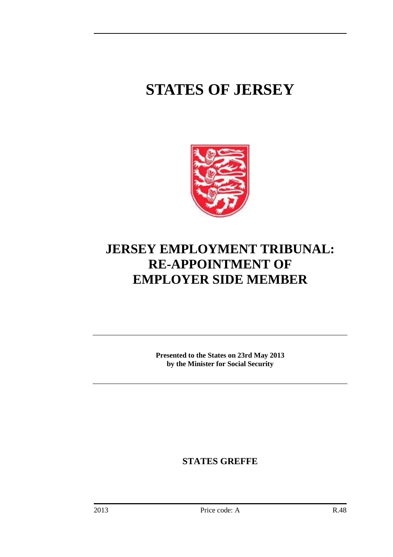# **STATES OF JERSEY**



# **JERSEY EMPLOYMENT TRIBUNAL: RE-APPOINTMENT OF EMPLOYER SIDE MEMBER**

**Presented to the States on 23rd May 2013 by the Minister for Social Security** 

**STATES GREFFE**